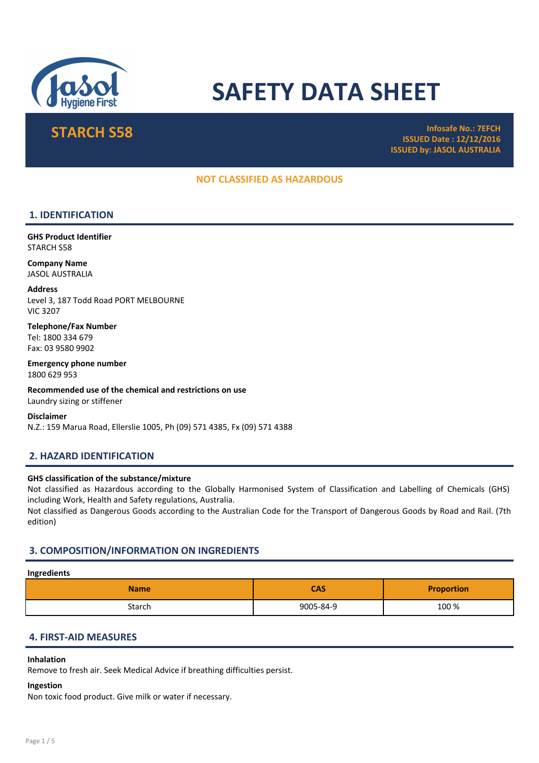

# SAFETY DATA SHEET

STARCH S58 Infosafe No.: 7EFCH ISSUED Date : 12/12/2016 ISSUED by: JASOL AUSTRALIA

# NOT CLASSIFIED AS HAZARDOUS

# 1. IDENTIFICATION

GHS Product Identifier STARCH S58

Company Name JASOL AUSTRALIA

Address Level 3, 187 Todd Road PORT MELBOURNE VIC 3207

Telephone/Fax Number Tel: 1800 334 679 Fax: 03 9580 9902

Emergency phone number 1800 629 953

Recommended use of the chemical and restrictions on use Laundry sizing or stiffener

Disclaimer N.Z.: 159 Marua Road, Ellerslie 1005, Ph (09) 571 4385, Fx (09) 571 4388

# 2. HAZARD IDENTIFICATION

#### GHS classification of the substance/mixture

Not classified as Hazardous according to the Globally Harmonised System of Classification and Labelling of Chemicals (GHS) including Work, Health and Safety regulations, Australia.

Not classified as Dangerous Goods according to the Australian Code for the Transport of Dangerous Goods by Road and Rail. (7th edition)

# 3. COMPOSITION/INFORMATION ON INGREDIENTS

#### Ingredients

| <b>Name</b> | <b>CAS</b> | <b>Proportion</b> |
|-------------|------------|-------------------|
| Starch      | 9005-84-9  | 100 %             |

# 4. FIRST-AID MEASURES

# Inhalation

Remove to fresh air. Seek Medical Advice if breathing difficulties persist.

#### Ingestion

Non toxic food product. Give milk or water if necessary.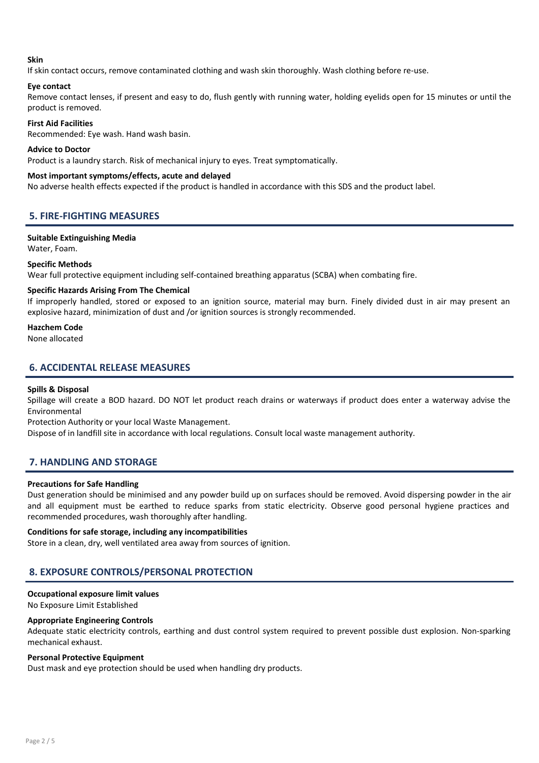#### Skin

If skin contact occurs, remove contaminated clothing and wash skin thoroughly. Wash clothing before re-use.

# Eye contact

Remove contact lenses, if present and easy to do, flush gently with running water, holding eyelids open for 15 minutes or until the product is removed.

# First Aid Facilities

Recommended: Eye wash. Hand wash basin.

#### Advice to Doctor

Product is a laundry starch. Risk of mechanical injury to eyes. Treat symptomatically.

#### Most important symptoms/effects, acute and delayed

No adverse health effects expected if the product is handled in accordance with this SDS and the product label.

# 5. FIRE-FIGHTING MEASURES

# Suitable Extinguishing Media

Water, Foam.

# Specific Methods

Wear full protective equipment including self-contained breathing apparatus (SCBA) when combating fire.

# Specific Hazards Arising From The Chemical

If improperly handled, stored or exposed to an ignition source, material may burn. Finely divided dust in air may present an explosive hazard, minimization of dust and /or ignition sources is strongly recommended.

#### Hazchem Code

None allocated

# 6. ACCIDENTAL RELEASE MEASURES

# Spills & Disposal

Spillage will create a BOD hazard. DO NOT let product reach drains or waterways if product does enter a waterway advise the Environmental

Protection Authority or your local Waste Management.

Dispose of in landfill site in accordance with local regulations. Consult local waste management authority.

# 7. HANDLING AND STORAGE

# Precautions for Safe Handling

Dust generation should be minimised and any powder build up on surfaces should be removed. Avoid dispersing powder in the air and all equipment must be earthed to reduce sparks from static electricity. Observe good personal hygiene practices and recommended procedures, wash thoroughly after handling.

# Conditions for safe storage, including any incompatibilities

Store in a clean, dry, well ventilated area away from sources of ignition.

# 8. EXPOSURE CONTROLS/PERSONAL PROTECTION

# Occupational exposure limit values

No Exposure Limit Established

#### Appropriate Engineering Controls

Adequate static electricity controls, earthing and dust control system required to prevent possible dust explosion. Non-sparking mechanical exhaust.

# Personal Protective Equipment

Dust mask and eye protection should be used when handling dry products.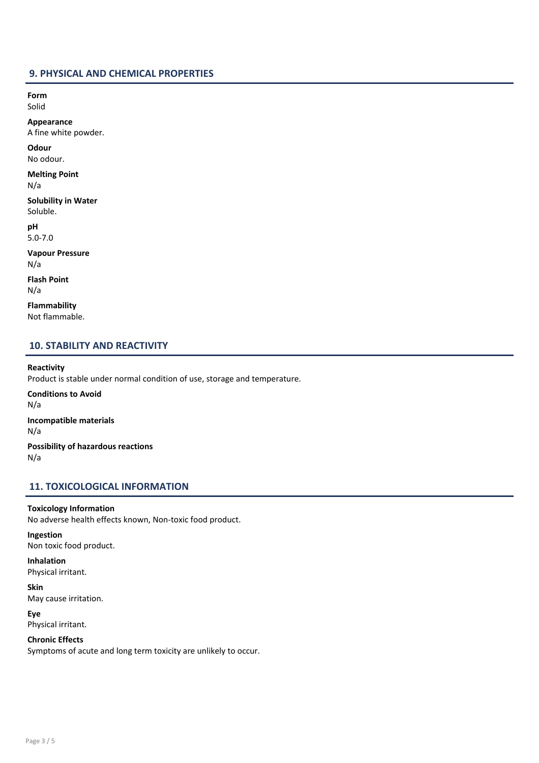# 9. PHYSICAL AND CHEMICAL PROPERTIES

Form Solid

Appearance

A fine white powder.

**Odour** No odour.

Melting Point N/a

Solubility in Water Soluble.

pH 5.0-7.0

Vapour Pressure N/a

Flash Point N/a

Flammability Not flammable.

# 10. STABILITY AND REACTIVITY

# Reactivity

Product is stable under normal condition of use, storage and temperature. Conditions to Avoid N/a Incompatible materials N/a Possibility of hazardous reactions N/a

# 11. TOXICOLOGICAL INFORMATION

# Toxicology Information

No adverse health effects known, Non-toxic food product.

Ingestion Non toxic food product.

Inhalation Physical irritant.

Skin May cause irritation.

Eye Physical irritant.

Chronic Effects

Symptoms of acute and long term toxicity are unlikely to occur.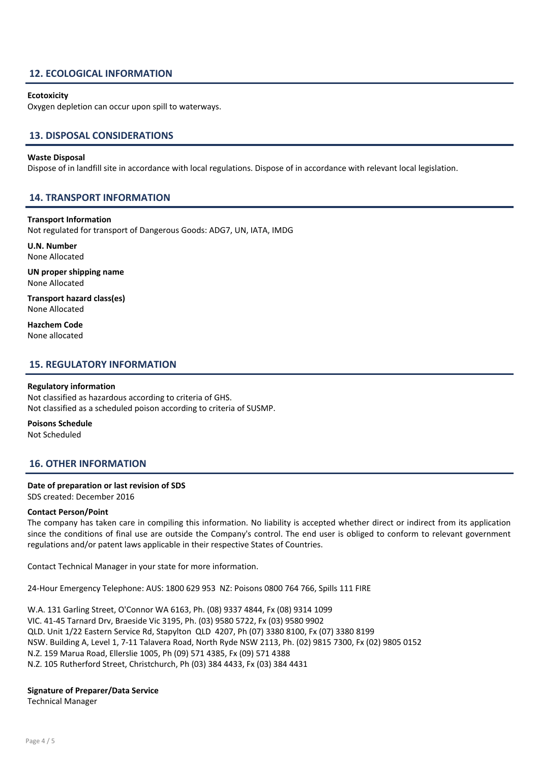# 12. ECOLOGICAL INFORMATION

#### **Ecotoxicity**

Oxygen depletion can occur upon spill to waterways.

# 13. DISPOSAL CONSIDERATIONS

#### Waste Disposal

Dispose of in landfill site in accordance with local regulations. Dispose of in accordance with relevant local legislation.

# 14. TRANSPORT INFORMATION

#### Transport Information

Not regulated for transport of Dangerous Goods: ADG7, UN, IATA, IMDG

U.N. Number None Allocated

UN proper shipping name None Allocated

Transport hazard class(es) None Allocated

Hazchem Code None allocated

# 15. REGULATORY INFORMATION

#### Regulatory information

Not classified as hazardous according to criteria of GHS. Not classified as a scheduled poison according to criteria of SUSMP.

Poisons Schedule Not Scheduled

# 16. OTHER INFORMATION

#### Date of preparation or last revision of SDS

SDS created: December 2016

#### Contact Person/Point

The company has taken care in compiling this information. No liability is accepted whether direct or indirect from its application since the conditions of final use are outside the Company's control. The end user is obliged to conform to relevant government regulations and/or patent laws applicable in their respective States of Countries.

Contact Technical Manager in your state for more information.

24-Hour Emergency Telephone: AUS: 1800 629 953 NZ: Poisons 0800 764 766, Spills 111 FIRE

W.A. 131 Garling Street, O'Connor WA 6163, Ph. (08) 9337 4844, Fx (08) 9314 1099 VIC. 41-45 Tarnard Drv, Braeside Vic 3195, Ph. (03) 9580 5722, Fx (03) 9580 9902 QLD. Unit 1/22 Eastern Service Rd, Stapylton QLD 4207, Ph (07) 3380 8100, Fx (07) 3380 8199 NSW. Building A, Level 1, 7-11 Talavera Road, North Ryde NSW 2113, Ph. (02) 9815 7300, Fx (02) 9805 0152 N.Z. 159 Marua Road, Ellerslie 1005, Ph (09) 571 4385, Fx (09) 571 4388 N.Z. 105 Rutherford Street, Christchurch, Ph (03) 384 4433, Fx (03) 384 4431

#### Signature of Preparer/Data Service

Technical Manager